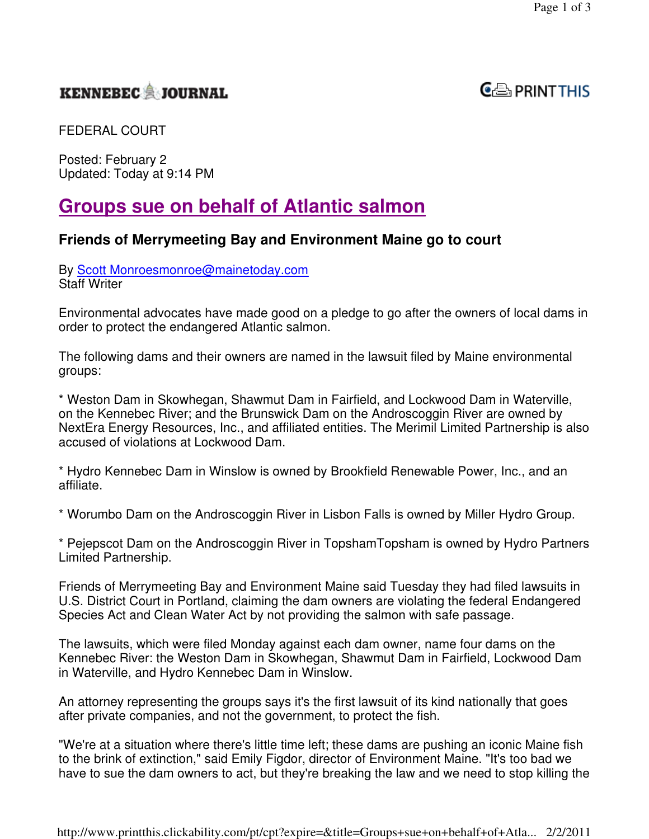## **KENNEBEC JOURNAL**



FEDERAL COURT

Posted: February 2 Updated: Today at 9:14 PM

# **Groups sue on behalf of Atlantic salmon**

### **Friends of Merrymeeting Bay and Environment Maine go to court**

By Scott Monroesmonroe@mainetoday.com Staff Writer

Environmental advocates have made good on a pledge to go after the owners of local dams in order to protect the endangered Atlantic salmon.

The following dams and their owners are named in the lawsuit filed by Maine environmental groups:

\* Weston Dam in Skowhegan, Shawmut Dam in Fairfield, and Lockwood Dam in Waterville, on the Kennebec River; and the Brunswick Dam on the Androscoggin River are owned by NextEra Energy Resources, Inc., and affiliated entities. The Merimil Limited Partnership is also accused of violations at Lockwood Dam.

\* Hydro Kennebec Dam in Winslow is owned by Brookfield Renewable Power, Inc., and an affiliate.

\* Worumbo Dam on the Androscoggin River in Lisbon Falls is owned by Miller Hydro Group.

\* Pejepscot Dam on the Androscoggin River in TopshamTopsham is owned by Hydro Partners Limited Partnership.

Friends of Merrymeeting Bay and Environment Maine said Tuesday they had filed lawsuits in U.S. District Court in Portland, claiming the dam owners are violating the federal Endangered Species Act and Clean Water Act by not providing the salmon with safe passage.

The lawsuits, which were filed Monday against each dam owner, name four dams on the Kennebec River: the Weston Dam in Skowhegan, Shawmut Dam in Fairfield, Lockwood Dam in Waterville, and Hydro Kennebec Dam in Winslow.

An attorney representing the groups says it's the first lawsuit of its kind nationally that goes after private companies, and not the government, to protect the fish.

"We're at a situation where there's little time left; these dams are pushing an iconic Maine fish to the brink of extinction," said Emily Figdor, director of Environment Maine. "It's too bad we have to sue the dam owners to act, but they're breaking the law and we need to stop killing the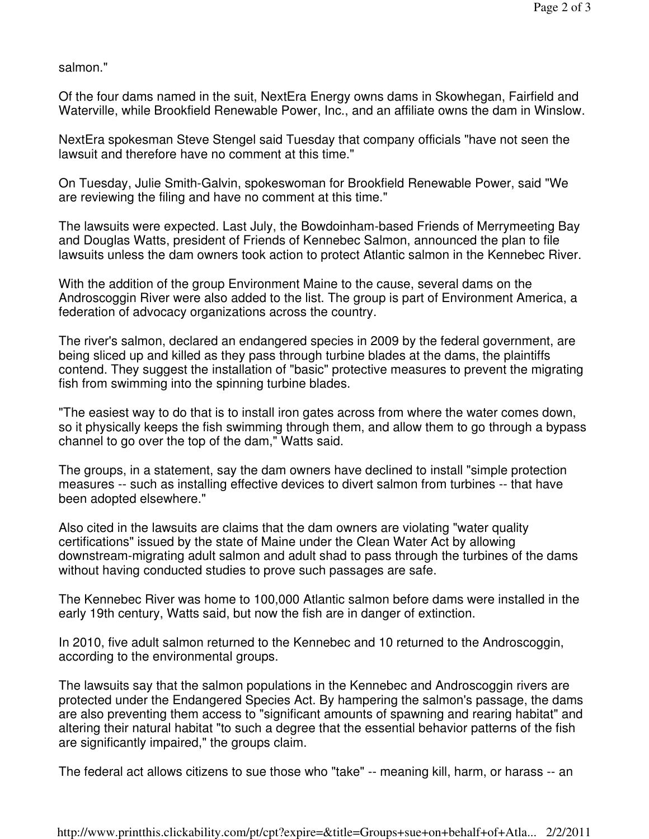salmon."

Of the four dams named in the suit, NextEra Energy owns dams in Skowhegan, Fairfield and Waterville, while Brookfield Renewable Power, Inc., and an affiliate owns the dam in Winslow.

NextEra spokesman Steve Stengel said Tuesday that company officials "have not seen the lawsuit and therefore have no comment at this time."

On Tuesday, Julie Smith-Galvin, spokeswoman for Brookfield Renewable Power, said "We are reviewing the filing and have no comment at this time."

The lawsuits were expected. Last July, the Bowdoinham-based Friends of Merrymeeting Bay and Douglas Watts, president of Friends of Kennebec Salmon, announced the plan to file lawsuits unless the dam owners took action to protect Atlantic salmon in the Kennebec River.

With the addition of the group Environment Maine to the cause, several dams on the Androscoggin River were also added to the list. The group is part of Environment America, a federation of advocacy organizations across the country.

The river's salmon, declared an endangered species in 2009 by the federal government, are being sliced up and killed as they pass through turbine blades at the dams, the plaintiffs contend. They suggest the installation of "basic" protective measures to prevent the migrating fish from swimming into the spinning turbine blades.

"The easiest way to do that is to install iron gates across from where the water comes down, so it physically keeps the fish swimming through them, and allow them to go through a bypass channel to go over the top of the dam," Watts said.

The groups, in a statement, say the dam owners have declined to install "simple protection measures -- such as installing effective devices to divert salmon from turbines -- that have been adopted elsewhere."

Also cited in the lawsuits are claims that the dam owners are violating "water quality certifications" issued by the state of Maine under the Clean Water Act by allowing downstream-migrating adult salmon and adult shad to pass through the turbines of the dams without having conducted studies to prove such passages are safe.

The Kennebec River was home to 100,000 Atlantic salmon before dams were installed in the early 19th century, Watts said, but now the fish are in danger of extinction.

In 2010, five adult salmon returned to the Kennebec and 10 returned to the Androscoggin, according to the environmental groups.

The lawsuits say that the salmon populations in the Kennebec and Androscoggin rivers are protected under the Endangered Species Act. By hampering the salmon's passage, the dams are also preventing them access to "significant amounts of spawning and rearing habitat" and altering their natural habitat "to such a degree that the essential behavior patterns of the fish are significantly impaired," the groups claim.

The federal act allows citizens to sue those who "take" -- meaning kill, harm, or harass -- an